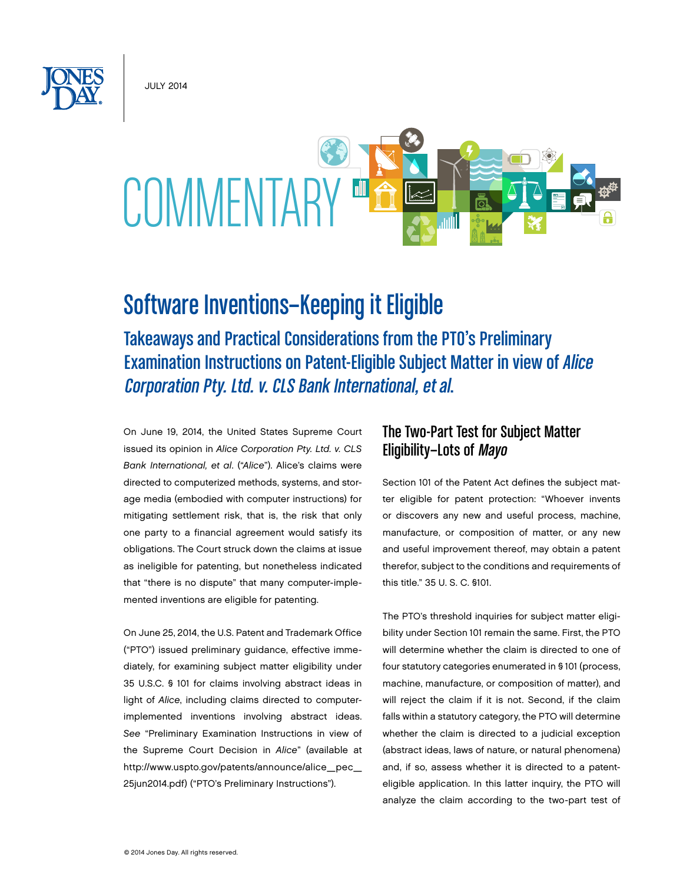July 2014



# Software Inventions—Keeping it Eligible

Takeaways and Practical Considerations from the PTO's Preliminary Examination Instructions on Patent-Eligible Subject Matter in view of Alice Corporation Pty. Ltd. v. CLS Bank International, et al.

On June 19, 2014, the United States Supreme Court issued its opinion in *Alice Corporation Pty. Ltd. v. CLS Bank International, et al*. ("*Alice*"). Alice's claims were directed to computerized methods, systems, and storage media (embodied with computer instructions) for mitigating settlement risk, that is, the risk that only one party to a financial agreement would satisfy its obligations. The Court struck down the claims at issue as ineligible for patenting, but nonetheless indicated that "there is no dispute" that many computer-implemented inventions are eligible for patenting.

On June 25, 2014, the U.S. Patent and Trademark Office ("PTO") issued preliminary guidance, effective immediately, for examining subject matter eligibility under 35 U.S.C. § 101 for claims involving abstract ideas in light of *Alice*, including claims directed to computerimplemented inventions involving abstract ideas. *See* "Preliminary Examination Instructions in view of the Supreme Court Decision in *Alice*" (available at http://www.uspto.gov/patents/announce/alice\_pec\_ 25jun2014.pdf) ("PTO's Preliminary Instructions").

# The Two-Part Test for Subject Matter Eligibility—Lots of Mayo

Section 101 of the Patent Act defines the subject matter eligible for patent protection: "Whoever invents or discovers any new and useful process, machine, manufacture, or composition of matter, or any new and useful improvement thereof, may obtain a patent therefor, subject to the conditions and requirements of this title." 35 U. S. C. §101.

The PTO's threshold inquiries for subject matter eligibility under Section 101 remain the same. First, the PTO will determine whether the claim is directed to one of four statutory categories enumerated in § 101 (process, machine, manufacture, or composition of matter), and will reject the claim if it is not. Second, if the claim falls within a statutory category, the PTO will determine whether the claim is directed to a judicial exception (abstract ideas, laws of nature, or natural phenomena) and, if so, assess whether it is directed to a patenteligible application. In this latter inquiry, the PTO will analyze the claim according to the two-part test of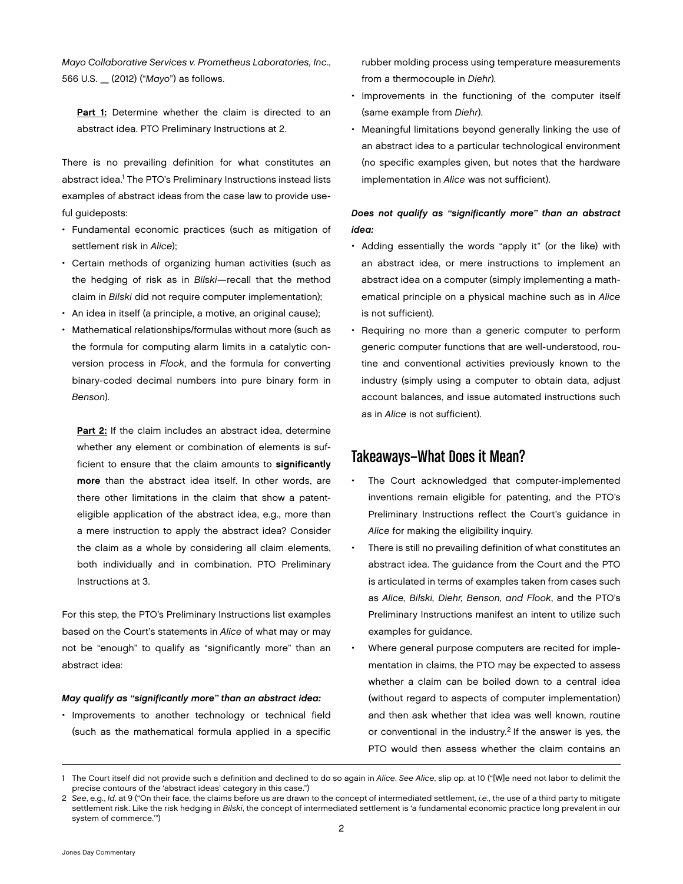*Mayo Collaborative Services v. Prometheus Laboratories, Inc*., 566 U.S. \_ (2012) ("*Mayo*") as follows.

Part 1: Determine whether the claim is directed to an abstract idea. PTO Preliminary Instructions at 2.

There is no prevailing definition for what constitutes an abstract idea.<sup>1</sup> The PTO's Preliminary Instructions instead lists examples of abstract ideas from the case law to provide useful guideposts:

- • Fundamental economic practices (such as mitigation of settlement risk in *Alice*);
- • Certain methods of organizing human activities (such as the hedging of risk as in *Bilski*—recall that the method claim in *Bilski* did not require computer implementation);
- An idea in itself (a principle, a motive, an original cause);
- Mathematical relationships/formulas without more (such as the formula for computing alarm limits in a catalytic conversion process in *Flook*, and the formula for converting binary-coded decimal numbers into pure binary form in *Benson*).

Part 2: If the claim includes an abstract idea, determine whether any element or combination of elements is sufficient to ensure that the claim amounts to significantly more than the abstract idea itself. In other words, are there other limitations in the claim that show a patenteligible application of the abstract idea, e.g., more than a mere instruction to apply the abstract idea? Consider the claim as a whole by considering all claim elements, both individually and in combination. PTO Preliminary Instructions at 3.

For this step, the PTO's Preliminary Instructions list examples based on the Court's statements in *Alice* of what may or may not be "enough" to qualify as "significantly more" than an abstract idea:

#### *May qualify as "significantly more" than an abstract idea:*

• Improvements to another technology or technical field (such as the mathematical formula applied in a specific rubber molding process using temperature measurements from a thermocouple in *Diehr*).

- Improvements in the functioning of the computer itself (same example from *Diehr*).
- Meaningful limitations beyond generally linking the use of an abstract idea to a particular technological environment (no specific examples given, but notes that the hardware implementation in *Alice* was not sufficient).

### *Does not qualify as "significantly more" than an abstract idea:*

- • Adding essentially the words "apply it" (or the like) with an abstract idea, or mere instructions to implement an abstract idea on a computer (simply implementing a mathematical principle on a physical machine such as in *Alice* is not sufficient).
- Requiring no more than a generic computer to perform generic computer functions that are well-understood, routine and conventional activities previously known to the industry (simply using a computer to obtain data, adjust account balances, and issue automated instructions such as in *Alice* is not sufficient).

## Takeaways—What Does it Mean?

- The Court acknowledged that computer-implemented inventions remain eligible for patenting, and the PTO's Preliminary Instructions reflect the Court's guidance in *Alice* for making the eligibility inquiry.
- There is still no prevailing definition of what constitutes an abstract idea. The guidance from the Court and the PTO is articulated in terms of examples taken from cases such as *Alice, Bilski, Diehr, Benson, and Flook*, and the PTO's Preliminary Instructions manifest an intent to utilize such examples for guidance.
- Where general purpose computers are recited for implementation in claims, the PTO may be expected to assess whether a claim can be boiled down to a central idea (without regard to aspects of computer implementation) and then ask whether that idea was well known, routine or conventional in the industry.<sup>2</sup> If the answer is yes, the PTO would then assess whether the claim contains an

<sup>1</sup> The Court itself did not provide such a definition and declined to do so again in *Alice*. *See Alice*, slip op. at 10 ("[W]e need not labor to delimit the precise contours of the 'abstract ideas' category in this case.")

<sup>2</sup> *See*, e.g., *Id*. at 9 ("On their face, the claims before us are drawn to the concept of intermediated settlement, *i.e.*, the use of a third party to mitigate settlement risk. Like the risk hedging in *Bilski*, the concept of intermediated settlement is 'a fundamental economic practice long prevalent in our system of commerce.'")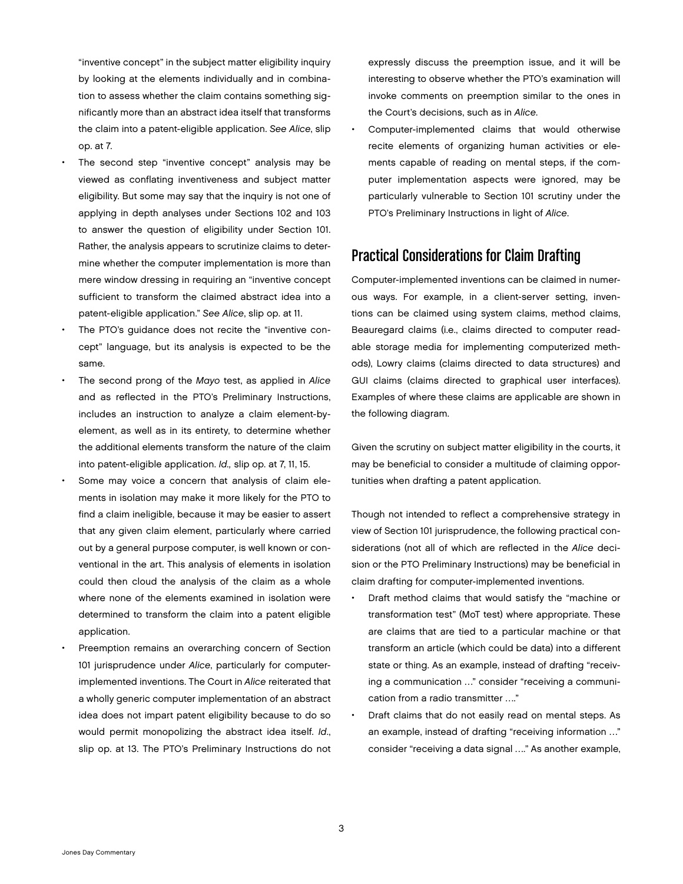"inventive concept" in the subject matter eligibility inquiry by looking at the elements individually and in combination to assess whether the claim contains something significantly more than an abstract idea itself that transforms the claim into a patent-eligible application. *See Alice*, slip op. at 7.

- The second step "inventive concept" analysis may be viewed as conflating inventiveness and subject matter eligibility. But some may say that the inquiry is not one of applying in depth analyses under Sections 102 and 103 to answer the question of eligibility under Section 101. Rather, the analysis appears to scrutinize claims to determine whether the computer implementation is more than mere window dressing in requiring an "inventive concept sufficient to transform the claimed abstract idea into a patent-eligible application." *See Alice*, slip op. at 11.
- The PTO's quidance does not recite the "inventive concept" language, but its analysis is expected to be the same.
- The second prong of the *Mayo* test, as applied in *Alice* and as reflected in the PTO's Preliminary Instructions, includes an instruction to analyze a claim element-byelement, as well as in its entirety, to determine whether the additional elements transform the nature of the claim into patent-eligible application. *Id.,* slip op. at 7, 11, 15.
- Some may voice a concern that analysis of claim elements in isolation may make it more likely for the PTO to find a claim ineligible, because it may be easier to assert that any given claim element, particularly where carried out by a general purpose computer, is well known or conventional in the art. This analysis of elements in isolation could then cloud the analysis of the claim as a whole where none of the elements examined in isolation were determined to transform the claim into a patent eligible application.
- Preemption remains an overarching concern of Section 101 jurisprudence under *Alice*, particularly for computerimplemented inventions. The Court in *Alice* reiterated that a wholly generic computer implementation of an abstract idea does not impart patent eligibility because to do so would permit monopolizing the abstract idea itself. *Id*., slip op. at 13. The PTO's Preliminary Instructions do not

expressly discuss the preemption issue, and it will be interesting to observe whether the PTO's examination will invoke comments on preemption similar to the ones in the Court's decisions, such as in *Alice*.

Computer-implemented claims that would otherwise recite elements of organizing human activities or elements capable of reading on mental steps, if the computer implementation aspects were ignored, may be particularly vulnerable to Section 101 scrutiny under the PTO's Preliminary Instructions in light of *Alice*.

# Practical Considerations for Claim Drafting

Computer-implemented inventions can be claimed in numerous ways. For example, in a client-server setting, inventions can be claimed using system claims, method claims, Beauregard claims (i.e., claims directed to computer readable storage media for implementing computerized methods), Lowry claims (claims directed to data structures) and GUI claims (claims directed to graphical user interfaces). Examples of where these claims are applicable are shown in the following diagram.

Given the scrutiny on subject matter eligibility in the courts, it may be beneficial to consider a multitude of claiming opportunities when drafting a patent application.

Though not intended to reflect a comprehensive strategy in view of Section 101 jurisprudence, the following practical considerations (not all of which are reflected in the *Alice* decision or the PTO Preliminary Instructions) may be beneficial in claim drafting for computer-implemented inventions.

- • Draft method claims that would satisfy the "machine or transformation test" (MoT test) where appropriate. These are claims that are tied to a particular machine or that transform an article (which could be data) into a different state or thing. As an example, instead of drafting "receiving a communication …" consider "receiving a communication from a radio transmitter …."
- Draft claims that do not easily read on mental steps. As an example, instead of drafting "receiving information …" consider "receiving a data signal …." As another example,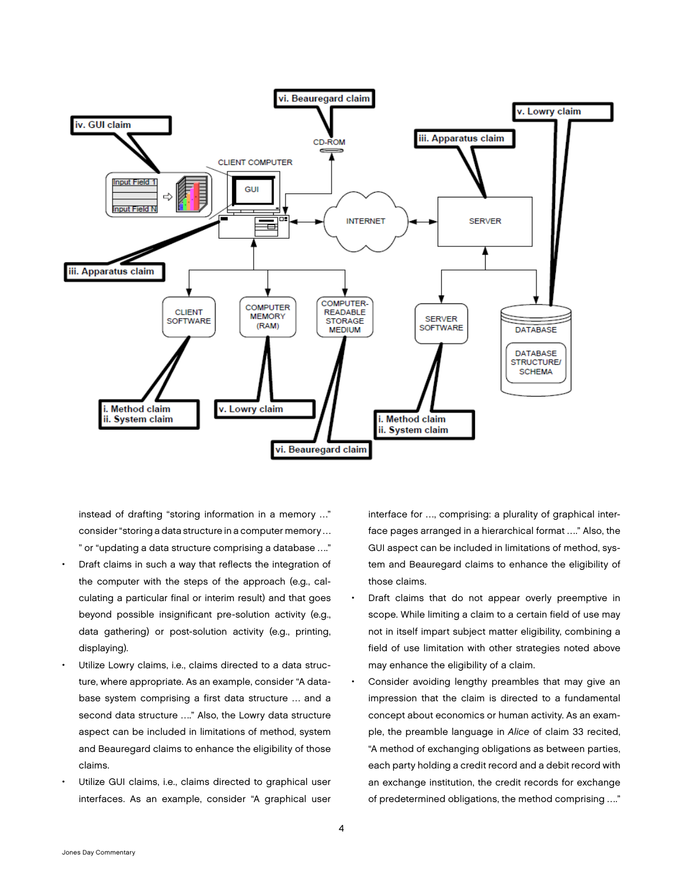

instead of drafting "storing information in a memory …" consider "storing a data structure in a computer memory … " or "updating a data structure comprising a database …."

- Draft claims in such a way that reflects the integration of the computer with the steps of the approach (e.g., calculating a particular final or interim result) and that goes beyond possible insignificant pre-solution activity (e.g., data gathering) or post-solution activity (e.g., printing, displaying).
- Utilize Lowry claims, i.e., claims directed to a data structure, where appropriate. As an example, consider "A database system comprising a first data structure … and a second data structure …." Also, the Lowry data structure aspect can be included in limitations of method, system and Beauregard claims to enhance the eligibility of those claims.
- Utilize GUI claims, i.e., claims directed to graphical user interfaces. As an example, consider "A graphical user

interface for …, comprising: a plurality of graphical interface pages arranged in a hierarchical format …." Also, the GUI aspect can be included in limitations of method, system and Beauregard claims to enhance the eligibility of those claims.

- Draft claims that do not appear overly preemptive in scope. While limiting a claim to a certain field of use may not in itself impart subject matter eligibility, combining a field of use limitation with other strategies noted above may enhance the eligibility of a claim.
- Consider avoiding lengthy preambles that may give an impression that the claim is directed to a fundamental concept about economics or human activity. As an example, the preamble language in *Alice* of claim 33 recited, "A method of exchanging obligations as between parties, each party holding a credit record and a debit record with an exchange institution, the credit records for exchange of predetermined obligations, the method comprising …."